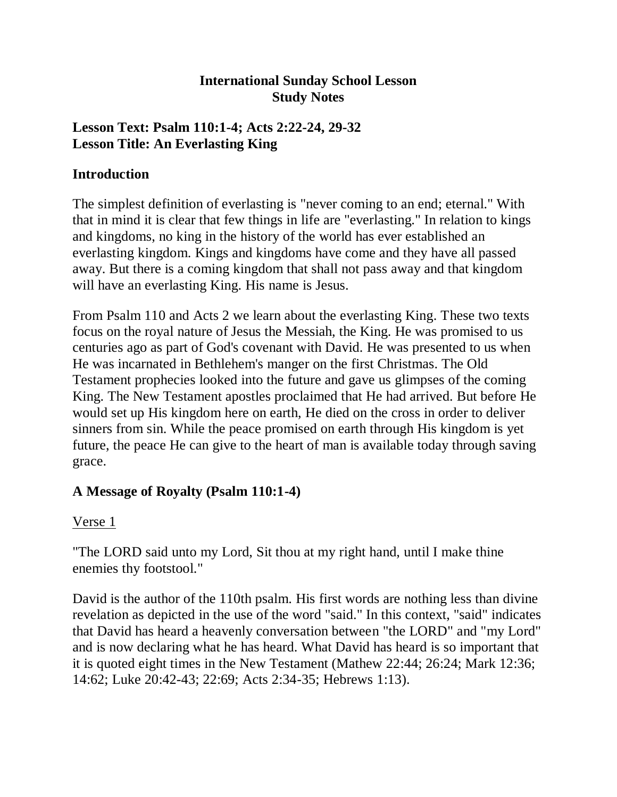#### **International Sunday School Lesson Study Notes**

# **Lesson Text: Psalm 110:1-4; Acts 2:22-24, 29-32 Lesson Title: An Everlasting King**

#### **Introduction**

The simplest definition of everlasting is "never coming to an end; eternal." With that in mind it is clear that few things in life are "everlasting." In relation to kings and kingdoms, no king in the history of the world has ever established an everlasting kingdom. Kings and kingdoms have come and they have all passed away. But there is a coming kingdom that shall not pass away and that kingdom will have an everlasting King. His name is Jesus.

From Psalm 110 and Acts 2 we learn about the everlasting King. These two texts focus on the royal nature of Jesus the Messiah, the King. He was promised to us centuries ago as part of God's covenant with David. He was presented to us when He was incarnated in Bethlehem's manger on the first Christmas. The Old Testament prophecies looked into the future and gave us glimpses of the coming King. The New Testament apostles proclaimed that He had arrived. But before He would set up His kingdom here on earth, He died on the cross in order to deliver sinners from sin. While the peace promised on earth through His kingdom is yet future, the peace He can give to the heart of man is available today through saving grace.

# **A Message of Royalty (Psalm 110:1-4)**

# Verse 1

"The LORD said unto my Lord, Sit thou at my right hand, until I make thine enemies thy footstool."

David is the author of the 110th psalm. His first words are nothing less than divine revelation as depicted in the use of the word "said." In this context, "said" indicates that David has heard a heavenly conversation between "the LORD" and "my Lord" and is now declaring what he has heard. What David has heard is so important that it is quoted eight times in the New Testament (Mathew 22:44; 26:24; Mark 12:36; 14:62; Luke 20:42-43; 22:69; Acts 2:34-35; Hebrews 1:13).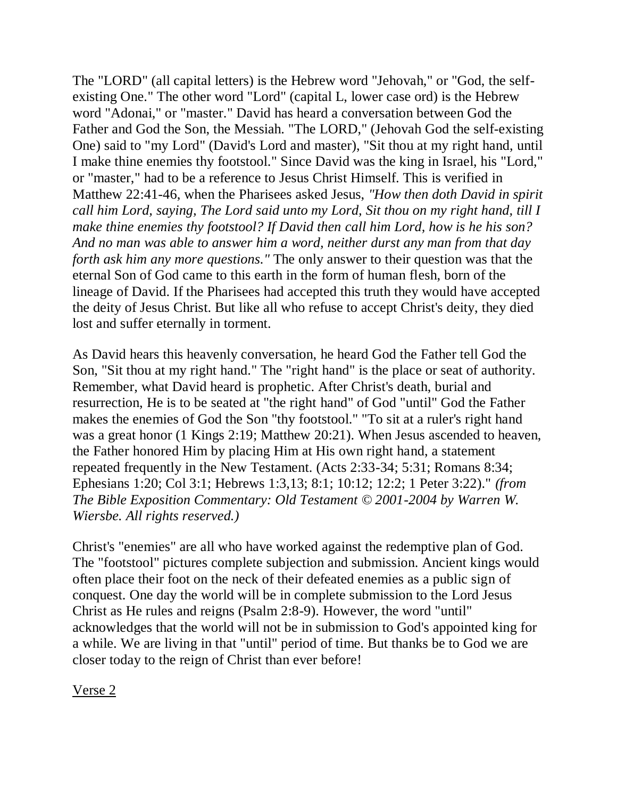The "LORD" (all capital letters) is the Hebrew word "Jehovah," or "God, the selfexisting One." The other word "Lord" (capital L, lower case ord) is the Hebrew word "Adonai," or "master." David has heard a conversation between God the Father and God the Son, the Messiah. "The LORD," (Jehovah God the self-existing One) said to "my Lord" (David's Lord and master), "Sit thou at my right hand, until I make thine enemies thy footstool." Since David was the king in Israel, his "Lord," or "master," had to be a reference to Jesus Christ Himself. This is verified in Matthew 22:41-46, when the Pharisees asked Jesus, *"How then doth David in spirit call him Lord, saying, The Lord said unto my Lord, Sit thou on my right hand, till I make thine enemies thy footstool? If David then call him Lord, how is he his son? And no man was able to answer him a word, neither durst any man from that day forth ask him any more questions."* The only answer to their question was that the eternal Son of God came to this earth in the form of human flesh, born of the lineage of David. If the Pharisees had accepted this truth they would have accepted the deity of Jesus Christ. But like all who refuse to accept Christ's deity, they died lost and suffer eternally in torment.

As David hears this heavenly conversation, he heard God the Father tell God the Son, "Sit thou at my right hand." The "right hand" is the place or seat of authority. Remember, what David heard is prophetic. After Christ's death, burial and resurrection, He is to be seated at "the right hand" of God "until" God the Father makes the enemies of God the Son "thy footstool." "To sit at a ruler's right hand was a great honor (1 Kings 2:19; Matthew 20:21). When Jesus ascended to heaven, the Father honored Him by placing Him at His own right hand, a statement repeated frequently in the New Testament. (Acts 2:33-34; 5:31; Romans 8:34; Ephesians 1:20; Col 3:1; Hebrews 1:3,13; 8:1; 10:12; 12:2; 1 Peter 3:22)." *(from The Bible Exposition Commentary: Old Testament © 2001-2004 by Warren W. Wiersbe. All rights reserved.)*

Christ's "enemies" are all who have worked against the redemptive plan of God. The "footstool" pictures complete subjection and submission. Ancient kings would often place their foot on the neck of their defeated enemies as a public sign of conquest. One day the world will be in complete submission to the Lord Jesus Christ as He rules and reigns (Psalm 2:8-9). However, the word "until" acknowledges that the world will not be in submission to God's appointed king for a while. We are living in that "until" period of time. But thanks be to God we are closer today to the reign of Christ than ever before!

Verse 2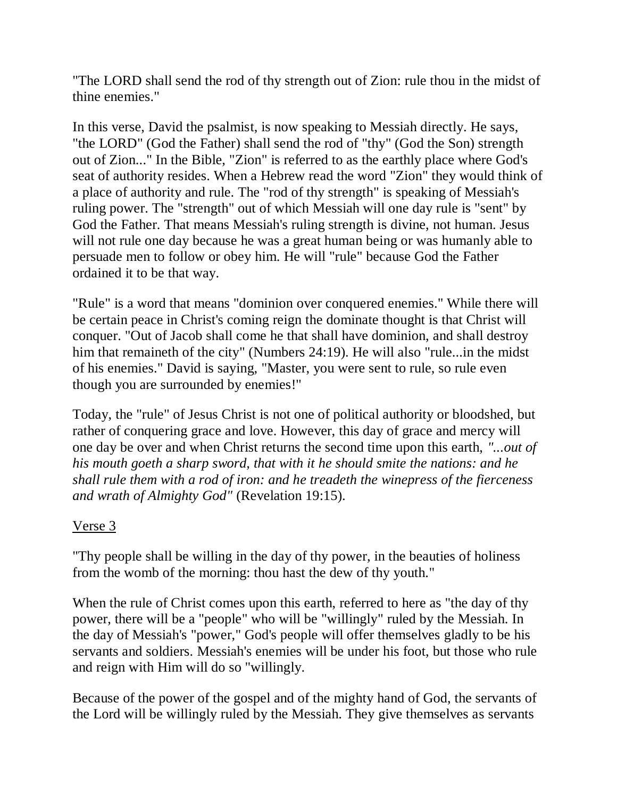"The LORD shall send the rod of thy strength out of Zion: rule thou in the midst of thine enemies."

In this verse, David the psalmist, is now speaking to Messiah directly. He says, "the LORD" (God the Father) shall send the rod of "thy" (God the Son) strength out of Zion..." In the Bible, "Zion" is referred to as the earthly place where God's seat of authority resides. When a Hebrew read the word "Zion" they would think of a place of authority and rule. The "rod of thy strength" is speaking of Messiah's ruling power. The "strength" out of which Messiah will one day rule is "sent" by God the Father. That means Messiah's ruling strength is divine, not human. Jesus will not rule one day because he was a great human being or was humanly able to persuade men to follow or obey him. He will "rule" because God the Father ordained it to be that way.

"Rule" is a word that means "dominion over conquered enemies." While there will be certain peace in Christ's coming reign the dominate thought is that Christ will conquer. "Out of Jacob shall come he that shall have dominion, and shall destroy him that remaineth of the city" (Numbers 24:19). He will also "rule...in the midst of his enemies." David is saying, "Master, you were sent to rule, so rule even though you are surrounded by enemies!"

Today, the "rule" of Jesus Christ is not one of political authority or bloodshed, but rather of conquering grace and love. However, this day of grace and mercy will one day be over and when Christ returns the second time upon this earth, *"...out of his mouth goeth a sharp sword, that with it he should smite the nations: and he shall rule them with a rod of iron: and he treadeth the winepress of the fierceness and wrath of Almighty God"* (Revelation 19:15).

# Verse 3

"Thy people shall be willing in the day of thy power, in the beauties of holiness from the womb of the morning: thou hast the dew of thy youth."

When the rule of Christ comes upon this earth, referred to here as "the day of thy power, there will be a "people" who will be "willingly" ruled by the Messiah. In the day of Messiah's "power," God's people will offer themselves gladly to be his servants and soldiers. Messiah's enemies will be under his foot, but those who rule and reign with Him will do so "willingly.

Because of the power of the gospel and of the mighty hand of God, the servants of the Lord will be willingly ruled by the Messiah. They give themselves as servants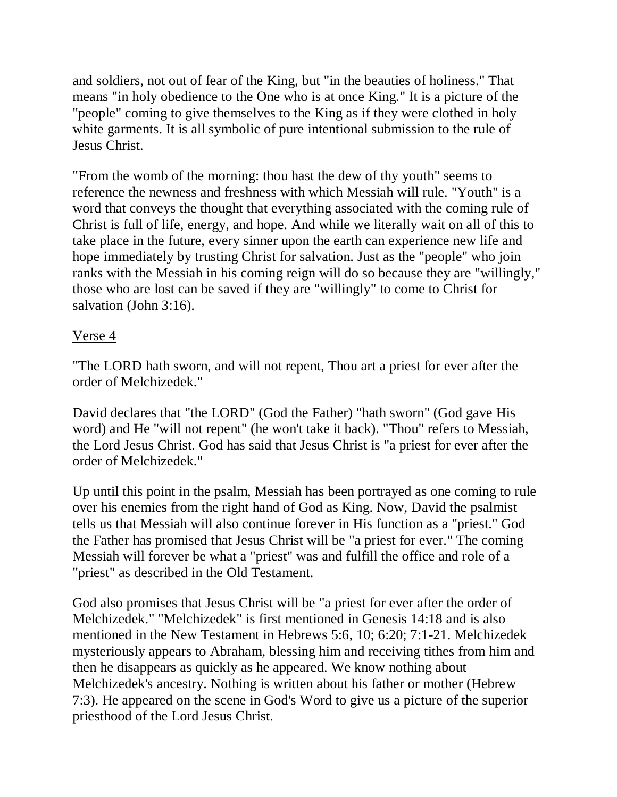and soldiers, not out of fear of the King, but "in the beauties of holiness." That means "in holy obedience to the One who is at once King." It is a picture of the "people" coming to give themselves to the King as if they were clothed in holy white garments. It is all symbolic of pure intentional submission to the rule of Jesus Christ.

"From the womb of the morning: thou hast the dew of thy youth" seems to reference the newness and freshness with which Messiah will rule. "Youth" is a word that conveys the thought that everything associated with the coming rule of Christ is full of life, energy, and hope. And while we literally wait on all of this to take place in the future, every sinner upon the earth can experience new life and hope immediately by trusting Christ for salvation. Just as the "people" who join ranks with the Messiah in his coming reign will do so because they are "willingly," those who are lost can be saved if they are "willingly" to come to Christ for salvation (John 3:16).

#### Verse 4

"The LORD hath sworn, and will not repent, Thou art a priest for ever after the order of Melchizedek."

David declares that "the LORD" (God the Father) "hath sworn" (God gave His word) and He "will not repent" (he won't take it back). "Thou" refers to Messiah, the Lord Jesus Christ. God has said that Jesus Christ is "a priest for ever after the order of Melchizedek."

Up until this point in the psalm, Messiah has been portrayed as one coming to rule over his enemies from the right hand of God as King. Now, David the psalmist tells us that Messiah will also continue forever in His function as a "priest." God the Father has promised that Jesus Christ will be "a priest for ever." The coming Messiah will forever be what a "priest" was and fulfill the office and role of a "priest" as described in the Old Testament.

God also promises that Jesus Christ will be "a priest for ever after the order of Melchizedek." "Melchizedek" is first mentioned in Genesis 14:18 and is also mentioned in the New Testament in Hebrews 5:6, 10; 6:20; 7:1-21. Melchizedek mysteriously appears to Abraham, blessing him and receiving tithes from him and then he disappears as quickly as he appeared. We know nothing about Melchizedek's ancestry. Nothing is written about his father or mother (Hebrew 7:3). He appeared on the scene in God's Word to give us a picture of the superior priesthood of the Lord Jesus Christ.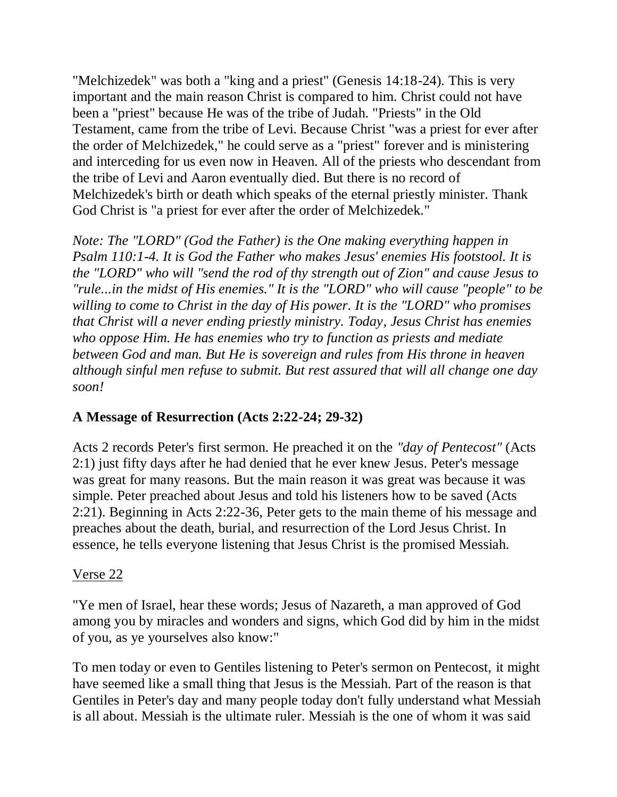"Melchizedek" was both a "king and a priest" (Genesis 14:18-24). This is very important and the main reason Christ is compared to him. Christ could not have been a "priest" because He was of the tribe of Judah. "Priests" in the Old Testament, came from the tribe of Levi. Because Christ "was a priest for ever after the order of Melchizedek," he could serve as a "priest" forever and is ministering and interceding for us even now in Heaven. All of the priests who descendant from the tribe of Levi and Aaron eventually died. But there is no record of Melchizedek's birth or death which speaks of the eternal priestly minister. Thank God Christ is "a priest for ever after the order of Melchizedek."

*Note: The "LORD" (God the Father) is the One making everything happen in Psalm 110:1-4. It is God the Father who makes Jesus' enemies His footstool. It is the "LORD" who will "send the rod of thy strength out of Zion" and cause Jesus to "rule...in the midst of His enemies." It is the "LORD" who will cause "people" to be willing to come to Christ in the day of His power. It is the "LORD" who promises that Christ will a never ending priestly ministry. Today, Jesus Christ has enemies who oppose Him. He has enemies who try to function as priests and mediate between God and man. But He is sovereign and rules from His throne in heaven although sinful men refuse to submit. But rest assured that will all change one day soon!*

# **A Message of Resurrection (Acts 2:22-24; 29-32)**

Acts 2 records Peter's first sermon. He preached it on the *"day of Pentecost"* (Acts 2:1) just fifty days after he had denied that he ever knew Jesus. Peter's message was great for many reasons. But the main reason it was great was because it was simple. Peter preached about Jesus and told his listeners how to be saved (Acts 2:21). Beginning in Acts 2:22-36, Peter gets to the main theme of his message and preaches about the death, burial, and resurrection of the Lord Jesus Christ. In essence, he tells everyone listening that Jesus Christ is the promised Messiah.

#### Verse 22

"Ye men of Israel, hear these words; Jesus of Nazareth, a man approved of God among you by miracles and wonders and signs, which God did by him in the midst of you, as ye yourselves also know:"

To men today or even to Gentiles listening to Peter's sermon on Pentecost, it might have seemed like a small thing that Jesus is the Messiah. Part of the reason is that Gentiles in Peter's day and many people today don't fully understand what Messiah is all about. Messiah is the ultimate ruler. Messiah is the one of whom it was said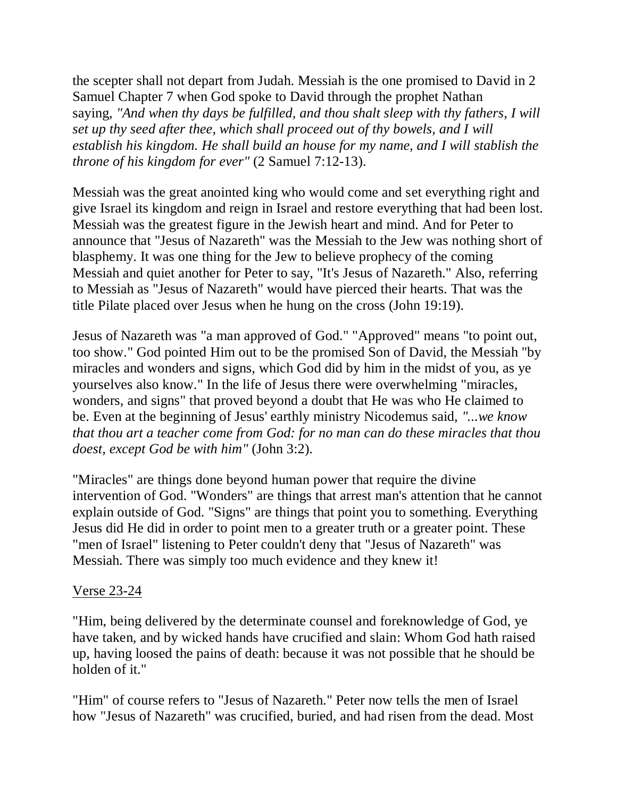the scepter shall not depart from Judah. Messiah is the one promised to David in 2 Samuel Chapter 7 when God spoke to David through the prophet Nathan saying, *"And when thy days be fulfilled, and thou shalt sleep with thy fathers, I will set up thy seed after thee, which shall proceed out of thy bowels, and I will establish his kingdom. He shall build an house for my name, and I will stablish the throne of his kingdom for ever"* (2 Samuel 7:12-13).

Messiah was the great anointed king who would come and set everything right and give Israel its kingdom and reign in Israel and restore everything that had been lost. Messiah was the greatest figure in the Jewish heart and mind. And for Peter to announce that "Jesus of Nazareth" was the Messiah to the Jew was nothing short of blasphemy. It was one thing for the Jew to believe prophecy of the coming Messiah and quiet another for Peter to say, "It's Jesus of Nazareth." Also, referring to Messiah as "Jesus of Nazareth" would have pierced their hearts. That was the title Pilate placed over Jesus when he hung on the cross (John 19:19).

Jesus of Nazareth was "a man approved of God." "Approved" means "to point out, too show." God pointed Him out to be the promised Son of David, the Messiah "by miracles and wonders and signs, which God did by him in the midst of you, as ye yourselves also know." In the life of Jesus there were overwhelming "miracles, wonders, and signs" that proved beyond a doubt that He was who He claimed to be. Even at the beginning of Jesus' earthly ministry Nicodemus said, *"...we know that thou art a teacher come from God: for no man can do these miracles that thou doest, except God be with him"* (John 3:2).

"Miracles" are things done beyond human power that require the divine intervention of God. "Wonders" are things that arrest man's attention that he cannot explain outside of God. "Signs" are things that point you to something. Everything Jesus did He did in order to point men to a greater truth or a greater point. These "men of Israel" listening to Peter couldn't deny that "Jesus of Nazareth" was Messiah. There was simply too much evidence and they knew it!

#### Verse 23-24

"Him, being delivered by the determinate counsel and foreknowledge of God, ye have taken, and by wicked hands have crucified and slain: Whom God hath raised up, having loosed the pains of death: because it was not possible that he should be holden of it."

"Him" of course refers to "Jesus of Nazareth." Peter now tells the men of Israel how "Jesus of Nazareth" was crucified, buried, and had risen from the dead. Most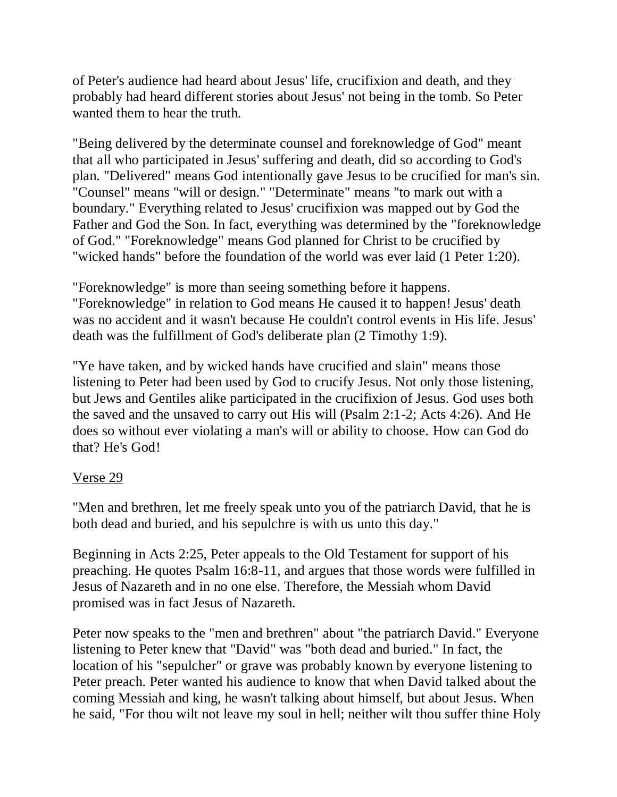of Peter's audience had heard about Jesus' life, crucifixion and death, and they probably had heard different stories about Jesus' not being in the tomb. So Peter wanted them to hear the truth.

"Being delivered by the determinate counsel and foreknowledge of God" meant that all who participated in Jesus' suffering and death, did so according to God's plan. "Delivered" means God intentionally gave Jesus to be crucified for man's sin. "Counsel" means "will or design." "Determinate" means "to mark out with a boundary." Everything related to Jesus' crucifixion was mapped out by God the Father and God the Son. In fact, everything was determined by the "foreknowledge of God." "Foreknowledge" means God planned for Christ to be crucified by "wicked hands" before the foundation of the world was ever laid (1 Peter 1:20).

"Foreknowledge" is more than seeing something before it happens. "Foreknowledge" in relation to God means He caused it to happen! Jesus' death was no accident and it wasn't because He couldn't control events in His life. Jesus' death was the fulfillment of God's deliberate plan (2 Timothy 1:9).

"Ye have taken, and by wicked hands have crucified and slain" means those listening to Peter had been used by God to crucify Jesus. Not only those listening, but Jews and Gentiles alike participated in the crucifixion of Jesus. God uses both the saved and the unsaved to carry out His will (Psalm 2:1-2; Acts 4:26). And He does so without ever violating a man's will or ability to choose. How can God do that? He's God!

#### Verse 29

"Men and brethren, let me freely speak unto you of the patriarch David, that he is both dead and buried, and his sepulchre is with us unto this day."

Beginning in Acts 2:25, Peter appeals to the Old Testament for support of his preaching. He quotes Psalm 16:8-11, and argues that those words were fulfilled in Jesus of Nazareth and in no one else. Therefore, the Messiah whom David promised was in fact Jesus of Nazareth.

Peter now speaks to the "men and brethren" about "the patriarch David." Everyone listening to Peter knew that "David" was "both dead and buried." In fact, the location of his "sepulcher" or grave was probably known by everyone listening to Peter preach. Peter wanted his audience to know that when David talked about the coming Messiah and king, he wasn't talking about himself, but about Jesus. When he said, "For thou wilt not leave my soul in hell; neither wilt thou suffer thine Holy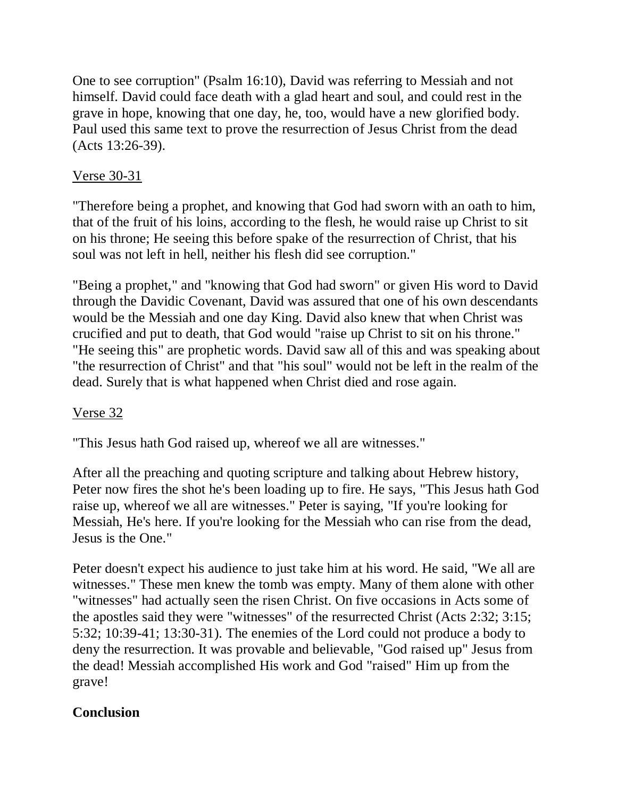One to see corruption" (Psalm 16:10), David was referring to Messiah and not himself. David could face death with a glad heart and soul, and could rest in the grave in hope, knowing that one day, he, too, would have a new glorified body. Paul used this same text to prove the resurrection of Jesus Christ from the dead (Acts 13:26-39).

# Verse 30-31

"Therefore being a prophet, and knowing that God had sworn with an oath to him, that of the fruit of his loins, according to the flesh, he would raise up Christ to sit on his throne; He seeing this before spake of the resurrection of Christ, that his soul was not left in hell, neither his flesh did see corruption."

"Being a prophet," and "knowing that God had sworn" or given His word to David through the Davidic Covenant, David was assured that one of his own descendants would be the Messiah and one day King. David also knew that when Christ was crucified and put to death, that God would "raise up Christ to sit on his throne." "He seeing this" are prophetic words. David saw all of this and was speaking about "the resurrection of Christ" and that "his soul" would not be left in the realm of the dead. Surely that is what happened when Christ died and rose again.

# Verse 32

"This Jesus hath God raised up, whereof we all are witnesses."

After all the preaching and quoting scripture and talking about Hebrew history, Peter now fires the shot he's been loading up to fire. He says, "This Jesus hath God raise up, whereof we all are witnesses." Peter is saying, "If you're looking for Messiah, He's here. If you're looking for the Messiah who can rise from the dead, Jesus is the One."

Peter doesn't expect his audience to just take him at his word. He said, "We all are witnesses." These men knew the tomb was empty. Many of them alone with other "witnesses" had actually seen the risen Christ. On five occasions in Acts some of the apostles said they were "witnesses" of the resurrected Christ (Acts 2:32; 3:15; 5:32; 10:39-41; 13:30-31). The enemies of the Lord could not produce a body to deny the resurrection. It was provable and believable, "God raised up" Jesus from the dead! Messiah accomplished His work and God "raised" Him up from the grave!

# **Conclusion**